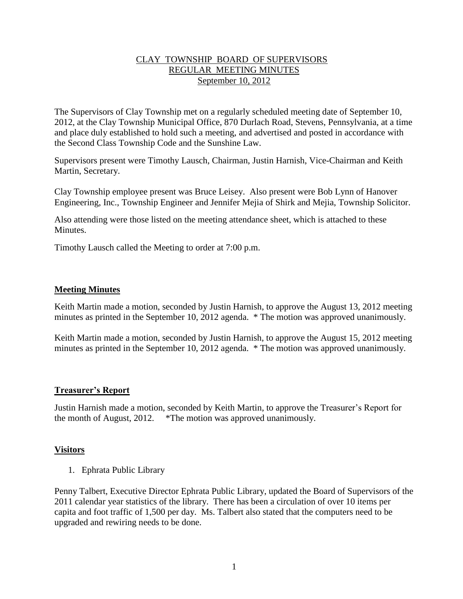## CLAY TOWNSHIP BOARD OF SUPERVISORS REGULAR MEETING MINUTES September 10, 2012

The Supervisors of Clay Township met on a regularly scheduled meeting date of September 10, 2012, at the Clay Township Municipal Office, 870 Durlach Road, Stevens, Pennsylvania, at a time and place duly established to hold such a meeting, and advertised and posted in accordance with the Second Class Township Code and the Sunshine Law.

Supervisors present were Timothy Lausch, Chairman, Justin Harnish, Vice-Chairman and Keith Martin, Secretary.

Clay Township employee present was Bruce Leisey. Also present were Bob Lynn of Hanover Engineering, Inc., Township Engineer and Jennifer Mejia of Shirk and Mejia, Township Solicitor.

Also attending were those listed on the meeting attendance sheet, which is attached to these Minutes.

Timothy Lausch called the Meeting to order at 7:00 p.m.

## **Meeting Minutes**

Keith Martin made a motion, seconded by Justin Harnish, to approve the August 13, 2012 meeting minutes as printed in the September 10, 2012 agenda. \* The motion was approved unanimously.

Keith Martin made a motion, seconded by Justin Harnish, to approve the August 15, 2012 meeting minutes as printed in the September 10, 2012 agenda. \* The motion was approved unanimously.

### **Treasurer's Report**

Justin Harnish made a motion, seconded by Keith Martin, to approve the Treasurer's Report for the month of August, 2012. \*The motion was approved unanimously.

### **Visitors**

1. Ephrata Public Library

Penny Talbert, Executive Director Ephrata Public Library, updated the Board of Supervisors of the 2011 calendar year statistics of the library. There has been a circulation of over 10 items per capita and foot traffic of 1,500 per day. Ms. Talbert also stated that the computers need to be upgraded and rewiring needs to be done.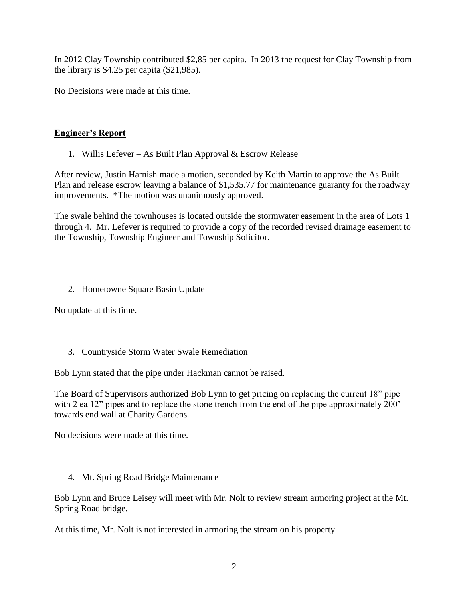In 2012 Clay Township contributed \$2,85 per capita. In 2013 the request for Clay Township from the library is \$4.25 per capita (\$21,985).

No Decisions were made at this time.

# **Engineer's Report**

1. Willis Lefever – As Built Plan Approval & Escrow Release

After review, Justin Harnish made a motion, seconded by Keith Martin to approve the As Built Plan and release escrow leaving a balance of \$1,535.77 for maintenance guaranty for the roadway improvements. \*The motion was unanimously approved.

The swale behind the townhouses is located outside the stormwater easement in the area of Lots 1 through 4. Mr. Lefever is required to provide a copy of the recorded revised drainage easement to the Township, Township Engineer and Township Solicitor.

# 2. Hometowne Square Basin Update

No update at this time.

# 3. Countryside Storm Water Swale Remediation

Bob Lynn stated that the pipe under Hackman cannot be raised.

The Board of Supervisors authorized Bob Lynn to get pricing on replacing the current 18" pipe with 2 ea 12" pipes and to replace the stone trench from the end of the pipe approximately 200" towards end wall at Charity Gardens.

No decisions were made at this time.

4. Mt. Spring Road Bridge Maintenance

Bob Lynn and Bruce Leisey will meet with Mr. Nolt to review stream armoring project at the Mt. Spring Road bridge.

At this time, Mr. Nolt is not interested in armoring the stream on his property.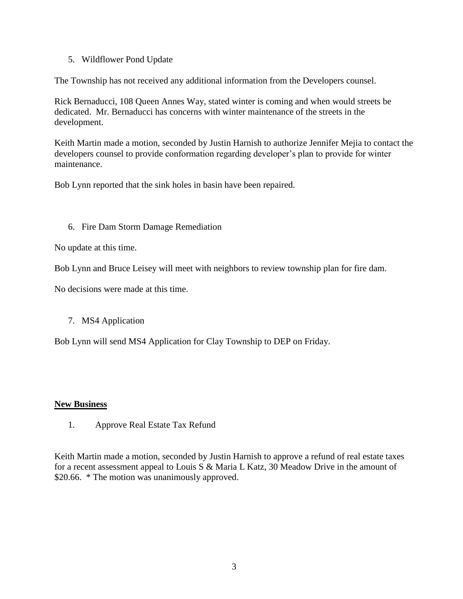5. Wildflower Pond Update

The Township has not received any additional information from the Developers counsel.

Rick Bernaducci, 108 Queen Annes Way, stated winter is coming and when would streets be dedicated. Mr. Bernaducci has concerns with winter maintenance of the streets in the development.

Keith Martin made a motion, seconded by Justin Harnish to authorize Jennifer Mejia to contact the developers counsel to provide conformation regarding developer's plan to provide for winter maintenance.

Bob Lynn reported that the sink holes in basin have been repaired.

## 6. Fire Dam Storm Damage Remediation

No update at this time.

Bob Lynn and Bruce Leisey will meet with neighbors to review township plan for fire dam.

No decisions were made at this time.

# 7. MS4 Application

Bob Lynn will send MS4 Application for Clay Township to DEP on Friday.

### **New Business**

1. Approve Real Estate Tax Refund

Keith Martin made a motion, seconded by Justin Harnish to approve a refund of real estate taxes for a recent assessment appeal to Louis S & Maria L Katz, 30 Meadow Drive in the amount of \$20.66. \* The motion was unanimously approved.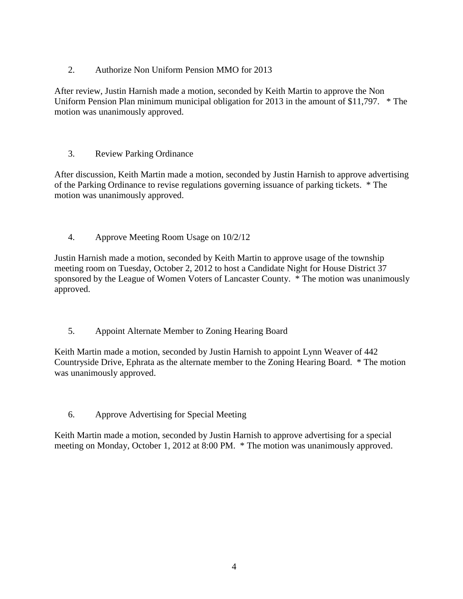2. Authorize Non Uniform Pension MMO for 2013

After review, Justin Harnish made a motion, seconded by Keith Martin to approve the Non Uniform Pension Plan minimum municipal obligation for 2013 in the amount of \$11,797. \* The motion was unanimously approved.

# 3. Review Parking Ordinance

After discussion, Keith Martin made a motion, seconded by Justin Harnish to approve advertising of the Parking Ordinance to revise regulations governing issuance of parking tickets. \* The motion was unanimously approved.

4. Approve Meeting Room Usage on 10/2/12

Justin Harnish made a motion, seconded by Keith Martin to approve usage of the township meeting room on Tuesday, October 2, 2012 to host a Candidate Night for House District 37 sponsored by the League of Women Voters of Lancaster County. \* The motion was unanimously approved.

5. Appoint Alternate Member to Zoning Hearing Board

Keith Martin made a motion, seconded by Justin Harnish to appoint Lynn Weaver of 442 Countryside Drive, Ephrata as the alternate member to the Zoning Hearing Board. \* The motion was unanimously approved.

6. Approve Advertising for Special Meeting

Keith Martin made a motion, seconded by Justin Harnish to approve advertising for a special meeting on Monday, October 1, 2012 at 8:00 PM. \* The motion was unanimously approved.